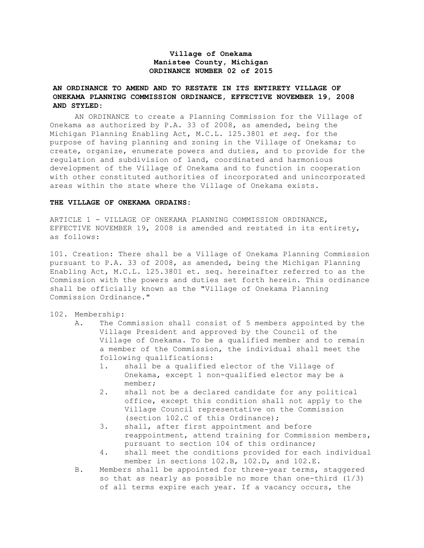# **Village of Onekama Manistee County, Michigan ORDINANCE NUMBER 02 of 2015**

# **AN ORDINANCE TO AMEND AND TO RESTATE IN ITS ENTIRETY VILLAGE OF ONEKAMA PLANNING COMMISSION ORDINANCE, EFFECTIVE NOVEMBER 19, 2008 AND STYLED:**

AN ORDINANCE to create a Planning Commission for the Village of Onekama as authorized by P.A. 33 of 2008, as amended, being the Michigan Planning Enabling Act, M.C.L. 125.3801 *et seq*. for the purpose of having planning and zoning in the Village of Onekama; to create, organize, enumerate powers and duties, and to provide for the regulation and subdivision of land, coordinated and harmonious development of the Village of Onekama and to function in cooperation with other constituted authorities of incorporated and unincorporated areas within the state where the Village of Onekama exists.

#### **THE VILLAGE OF ONEKAMA ORDAINS:**

ARTICLE 1 - VILLAGE OF ONEKAMA PLANNING COMMISSION ORDINANCE, EFFECTIVE NOVEMBER 19, 2008 is amended and restated in its entirety, as follows:

101. Creation: There shall be a Village of Onekama Planning Commission pursuant to P.A. 33 of 2008, as amended, being the Michigan Planning Enabling Act, M.C.L. 125.3801 et. seq. hereinafter referred to as the Commission with the powers and duties set forth herein. This ordinance shall be officially known as the "Village of Onekama Planning Commission Ordinance."

#### 102. Membership:

- A. The Commission shall consist of 5 members appointed by the Village President and approved by the Council of the Village of Onekama. To be a qualified member and to remain a member of the Commission, the individual shall meet the following qualifications:
	- 1. shall be a qualified elector of the Village of Onekama, except 1 non-qualified elector may be a member;
	- 2. shall not be a declared candidate for any political office, except this condition shall not apply to the Village Council representative on the Commission (section 102.C of this Ordinance);
	- 3. shall, after first appointment and before reappointment, attend training for Commission members, pursuant to section 104 of this ordinance;
	- 4. shall meet the conditions provided for each individual member in sections 102.B, 102.D, and 102.E.
- B. Members shall be appointed for three-year terms, staggered so that as nearly as possible no more than one-third (1/3) of all terms expire each year. If a vacancy occurs, the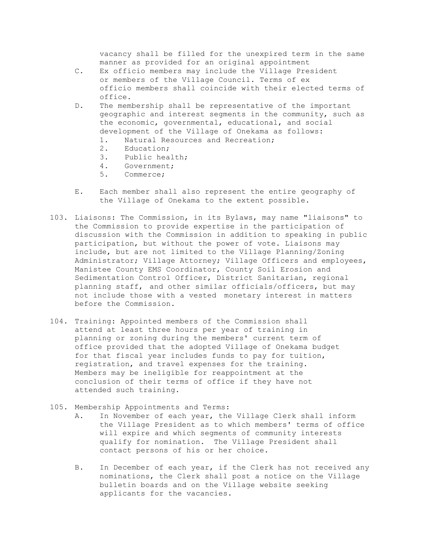vacancy shall be filled for the unexpired term in the same manner as provided for an original appointment

- C. Ex officio members may include the Village President or members of the Village Council. Terms of ex officio members shall coincide with their elected terms of office.
- D. The membership shall be representative of the important geographic and interest segments in the community, such as the economic, governmental, educational, and social development of the Village of Onekama as follows:
	- 1. Natural Resources and Recreation;
	- 2. Education;
	- 3. Public health;
	- 4. Government;
	- 5. Commerce;
- E. Each member shall also represent the entire geography of the Village of Onekama to the extent possible.
- 103. Liaisons: The Commission, in its Bylaws, may name "liaisons" to the Commission to provide expertise in the participation of discussion with the Commission in addition to speaking in public participation, but without the power of vote. Liaisons may include, but are not limited to the Village Planning/Zoning Administrator; Village Attorney; Village Officers and employees, Manistee County EMS Coordinator, County Soil Erosion and Sedimentation Control Officer, District Sanitarian, regional planning staff, and other similar officials/officers, but may not include those with a vested monetary interest in matters before the Commission.
- 104. Training: Appointed members of the Commission shall attend at least three hours per year of training in planning or zoning during the members' current term of office provided that the adopted Village of Onekama budget for that fiscal year includes funds to pay for tuition, registration, and travel expenses for the training. Members may be ineligible for reappointment at the conclusion of their terms of office if they have not attended such training.
- 105. Membership Appointments and Terms:
	- A. In November of each year, the Village Clerk shall inform the Village President as to which members' terms of office will expire and which segments of community interests qualify for nomination. The Village President shall contact persons of his or her choice.
	- B. In December of each year, if the Clerk has not received any nominations, the Clerk shall post a notice on the Village bulletin boards and on the Village website seeking applicants for the vacancies.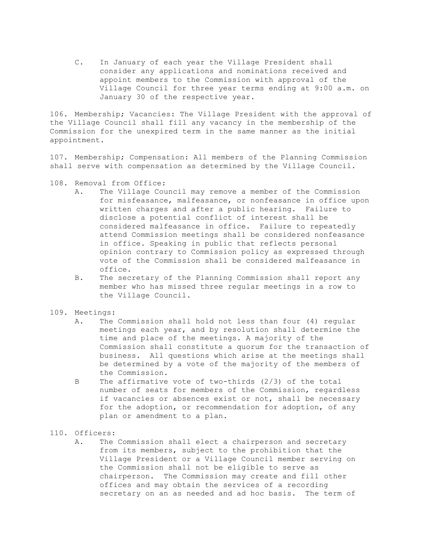C. In January of each year the Village President shall consider any applications and nominations received and appoint members to the Commission with approval of the Village Council for three year terms ending at 9:00 a.m. on January 30 of the respective year.

106. Membership; Vacancies: The Village President with the approval of the Village Council shall fill any vacancy in the membership of the Commission for the unexpired term in the same manner as the initial appointment.

107. Membership; Compensation: All members of the Planning Commission shall serve with compensation as determined by the Village Council.

- 108. Removal from Office:
	- A. The Village Council may remove a member of the Commission for misfeasance, malfeasance, or nonfeasance in office upon written charges and after a public hearing. Failure to disclose a potential conflict of interest shall be considered malfeasance in office. Failure to repeatedly attend Commission meetings shall be considered nonfeasance in office. Speaking in public that reflects personal opinion contrary to Commission policy as expressed through vote of the Commission shall be considered malfeasance in office.
	- B. The secretary of the Planning Commission shall report any member who has missed three regular meetings in a row to the Village Council.

## 109. Meetings:

- A. The Commission shall hold not less than four (4) regular meetings each year, and by resolution shall determine the time and place of the meetings. A majority of the Commission shall constitute a quorum for the transaction of business. All questions which arise at the meetings shall be determined by a vote of the majority of the members of the Commission.
- B The affirmative vote of two-thirds (2/3) of the total number of seats for members of the Commission, regardless if vacancies or absences exist or not, shall be necessary for the adoption, or recommendation for adoption, of any plan or amendment to a plan.
- 110. Officers:
	- A. The Commission shall elect a chairperson and secretary from its members, subject to the prohibition that the Village President or a Village Council member serving on the Commission shall not be eligible to serve as chairperson. The Commission may create and fill other offices and may obtain the services of a recording secretary on an as needed and ad hoc basis. The term of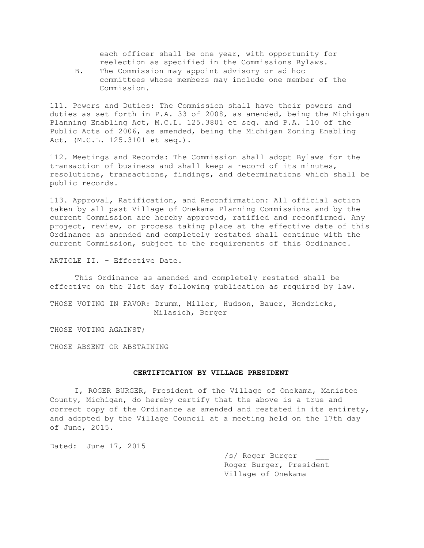each officer shall be one year, with opportunity for reelection as specified in the Commissions Bylaws.

B. The Commission may appoint advisory or ad hoc committees whose members may include one member of the Commission.

111. Powers and Duties: The Commission shall have their powers and duties as set forth in P.A. 33 of 2008, as amended, being the Michigan Planning Enabling Act, M.C.L. 125.3801 et seq. and P.A. 110 of the Public Acts of 2006, as amended, being the Michigan Zoning Enabling Act, (M.C.L. 125.3101 et seq.).

112. Meetings and Records: The Commission shall adopt Bylaws for the transaction of business and shall keep a record of its minutes, resolutions, transactions, findings, and determinations which shall be public records.

113. Approval, Ratification, and Reconfirmation: All official action taken by all past Village of Onekama Planning Commissions and by the current Commission are hereby approved, ratified and reconfirmed. Any project, review, or process taking place at the effective date of this Ordinance as amended and completely restated shall continue with the current Commission, subject to the requirements of this Ordinance.

ARTICLE II. - Effective Date.

This Ordinance as amended and completely restated shall be effective on the 21st day following publication as required by law.

THOSE VOTING IN FAVOR: Drumm, Miller, Hudson, Bauer, Hendricks, Milasich, Berger

THOSE VOTING AGAINST;

THOSE ABSENT OR ABSTAINING

## **CERTIFICATION BY VILLAGE PRESIDENT**

I, ROGER BURGER, President of the Village of Onekama, Manistee County, Michigan, do hereby certify that the above is a true and correct copy of the Ordinance as amended and restated in its entirety, and adopted by the Village Council at a meeting held on the 17th day of June, 2015.

Dated: June 17, 2015

/s/ Roger Burger \_\_\_ Roger Burger, President Village of Onekama